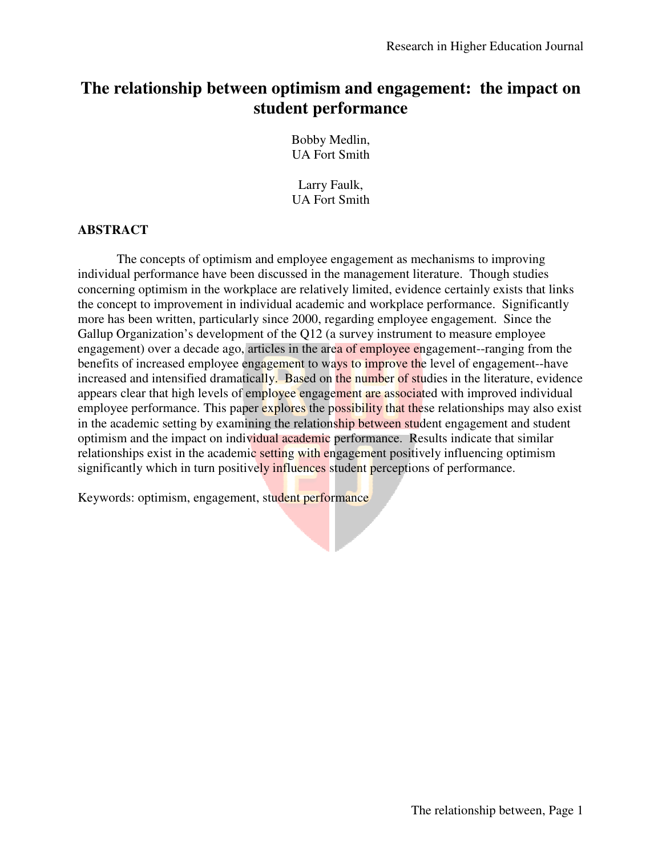# **The relationship between optimism and engagement: the impact on impact on student performance**

Bobby Medlin, UA Fort Smith

Larry Faulk, UA Fort Smith

## **ABSTRACT**

The concepts of optimism and employee engagement as mechanisms to improving individual performance have been discussed in the management literature. Though studies individual performance have been discussed in the management literature. Though studies<br>concerning optimism in the workplace are relatively limited, evidence certainly exists that links the concept to improvement in individual academic and workplace performance. Significantly more has been written, particularly since 2000, regarding employee engagement. Since the Gallup Organization's development of the Q12 (a survey instrument to measure employee engagement) over a decade ago, articles in the area of employee engagement--ranging from the benefits of increased employee engagement to ways to improve the level of engagement--have increased and intensified dramatically. Based on the number of studies in the literature, evidence appears clear that high levels of employee engagement are associated with improved individual employee performance. This paper explores the possibility that these relationships may also exist employee performance. This paper explores the possibility that these relationships may also exi<br>in the academic setting by examining the relationship between student engagement and student optimism and the impact on individual academic performance. Results indicate that similar relationships exist in the academic setting with engagement positively influencing optimism significantly which in turn positively influences student perceptions of performance. in the academic setting with engagement positively influencing optimism<br>in turn positively influences student perceptions of performance.<br>Im, engagement, student performance<br> $\blacksquare$ 

Keywords: optimism, engagement, student performance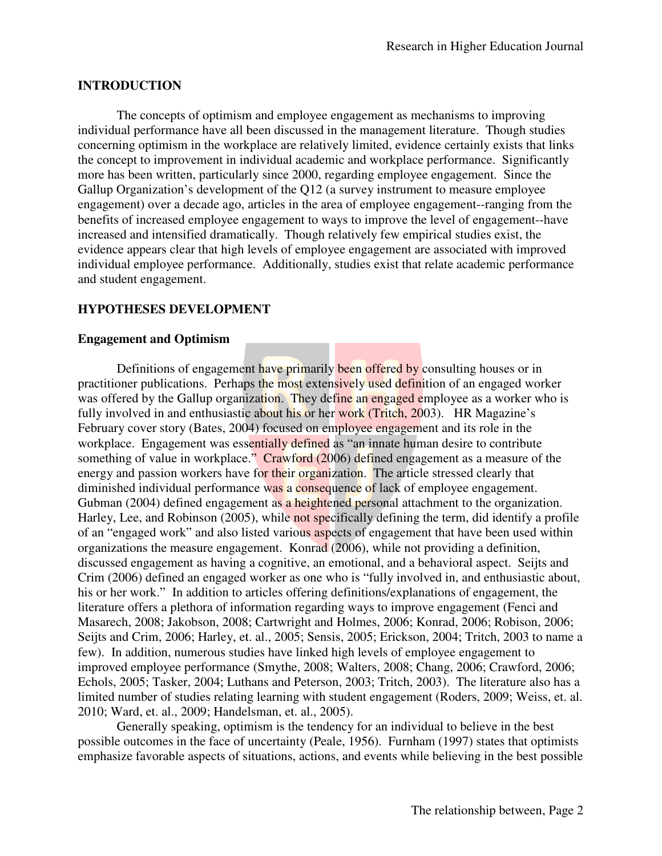# **INTRODUCTION**

The concepts of optimism and employee engagement as mechanisms to improving individual performance have all been discussed in the management literature. Though studies concerning optimism in the workplace are relatively limited, evidence certainly exists that links the concept to improvement in individual academic and workplace performance. Significantly more has been written, particularly since 2000, regarding employee engagement. Since the Gallup Organization's development of the Q12 (a survey instrument to measure employee engagement) over a decade ago, articles in the area of employee engagement--ranging from the Gallup Organization's development of the Q12 (a survey instrument to measure employee<br>engagement) over a decade ago, articles in the area of employee engagement--ranging from the<br>benefits of increased employee engagement t increased and intensified dramatically. Though relatively few empirical studies exist, the evidence appears clear that high levels of employee engagement are associated with improved individual employee performance. Additionally, studies exist that relate academic performance and student engagement.

# **HYPOTHESES DEVELOPMENT YPOTHESES DEVELOPMENT**

# **Engagement and Optimism**

Definitions of engagement have primarily been offered by consulting houses or in Definitions of engagement have primarily been offered by consulting houses or in<br>practitioner publications. Perhaps the most extensively used definition of an engaged worker was offered by the Gallup organization. They define an engaged employee as a worker who is fully involved in and enthusiastic about his or her work (Tritch, 2003). HR Magazine's February cover story (Bates, 2004) focused on employee engagement and its role in the February cover story (Bates, 2004) focused on employee engagement and its role in the workplace. Engagement was essentially defined as "an innate human desire to contribute something of value in workplace." Crawford (2006) defined engagement as a measure of the energy and passion workers have for their organization. The article stressed clearly that diminished individual performance was a consequence of lack of employee engagement. Gubman (2004) defined engagement as a heightened personal attachment to the organization. Gubman (2004) defined engagement a<mark>s a heightened per</mark>sonal attachment to the organization.<br>Harley, Lee, and Robinson (2005), while not specifically defining the term, did identify a profile of an "engaged work" and also listed various aspects of engagement that have been used within organizations the measure engagement. Konrad (2006), while not providing a definition, of an "engaged work" and also listed various aspects of engagement that have been used within<br>organizations the measure engagement. Konrad (2006), while not providing a definition,<br>discussed engagement as having a cognitiv Crim (2006) defined an engaged worker as one who is "fully involved in, and enthusiastic about, his or her work." In addition to articles offering definitions/explanations of engagement, the literature offers a plethora of information regarding ways to improve engagement (Fenci and Masarech, 2008; Jakobson, 2008; Cartwright and Holmes, 2006; Konrad, 2006; Robison, 2006; Masarech, 2008; Jakobson, 2008; Cartwright and Holmes, 2006; Konrad, 2006; Robison, 2006;<br>Seijts and Crim, 2006; Harley, et. al., 2005; Sensis, 2005; Erickson, 2004; Tritch, 2003 to name a few). In addition, numerous studies have linked high levels of employee engagement to few). In addition, numerous studies have linked high levels of employee engagement to improved employee performance (Smythe, 2008; Walters, 2008; Chang, 2006; Crawford, 2006; improved employee performance (Smythe, 2008; Walters, 2008; Chang, 2006; Crawford, 2006; Echols, 2005; Tasker, 2004; Luthans and Peterson, 2003; Tritch, 2003). The literature also has a limited number of studies relating learning with student engagement (Roders, 2009; Weiss, et. al. 2010; Ward, et. al., 2009; Handelsman, et. al., 2005). cally. Though relatively few empirical studies exist, the<br>levels of employee engagement are associated with improved<br>e. Additionally, studies exist that relate academic performance<br>CNT<br>CNT<br>for the most extensively used def

Generally speaking, optimism is the tendency for an individual to believe in the best possible outcomes in the face of uncertainty (Peale, 1956). Furnham (1997) states that optimists limited number of studies relating learning with student engagement (Roders, 2009; Weiss, et. al. 2010; Ward, et. al., 2009; Handelsman, et. al., 2005).<br>
Generally speaking, optimism is the tendency for an individual to be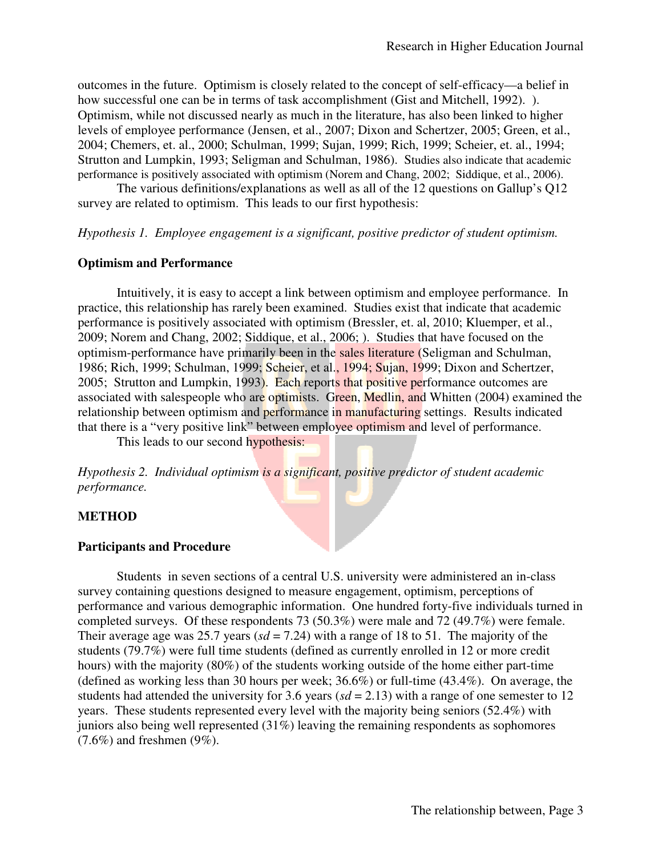outcomes in the future. Optimism is closely related to the concept of self-efficacy—a belief in how successful one can be in terms of task accomplishment (Gist and Mitchell, 1992). ). how successful one can be in terms of task accomplishment (Gist and Mitchell, 1992). ).<br>Optimism, while not discussed nearly as much in the literature, has also been linked to higher levels of employee performance (Jensen, et al., 2007; Dixon and Schertzer, 2005; Green, et al., 2004; Chemers, et. al., 2000; Schulman, 1999; Sujan, 1999; Rich, 1999; Scheier, et. al., 1994; Strutton and Lumpkin, 1993; Seligman and Schulman, 1986) 1986). Studies also indicate that academic performance is positively associated with optimism (Norem and Chang, 2002; Siddique, et al., 2006).

The various definitions/explanations as well as all of the 12 questions on Gallup's Q12 The various definitions/explanations as well as all of the 12 survey are related to optimism. This leads to our first hypothesis:

*Hypothesis 1. Employee engagement is a significant, positive predictor of student optimism.* 

#### **Optimism and Performance**

Intuitively, it is easy to accept a link between optimism and employee performance. In Intuitively, it is easy to accept a link between optimism and employee performance. In practice, this relationship has rarely been examined. Studies exist that indicate that academic performance is positively associated with optimism (Bressler, et. al, 2010; Kluemper, et al., 2009; Norem and Chang, 2002; Siddique, et al., 2006; ). Studies that have focused on the optimism-performance have primarily been in the sales literature (Seligman and Schulman, 2009; Norem and Chang, 2002; Siddique, et al., 2006; ). Studies that have focused on the optimism-performance have primarily been in the sales literature (Seligman and Schulman, 1986; Rich, 1999; Schulman, 1999; Scheier, e 2005; Strutton and Lumpkin, 1993). Each reports that positive performance outcomes are associated with salespeople who are optimists. Green, Medlin, and Whitten (2004) examined the relationship between optimism and performance in manufacturing settings. Results indicated relationship between optimism and performance in manufacturing settings. Results indicated that there is a "very positive link" between employee optimism and level of performance. Green, Medlin, and Whitten (2004) examined<br>
in manufacturing settings. Results indicated<br>
loyee optimism and level of performance.<br>
int, positive predictor of student academic<br>
S.S. university were administered an in-class

This leads to our second hypothesis:

Hypothesis 2. Individual optimism is a significant, positive predictor of student academic *performance.* 

## **METHOD**

#### **Participants and Procedure**

Students in seven sections of a central U.S. university were administered an in survey containing questions designed to measure engagement, optimism, perceptions of performance and various demographic information. One hundred forty-five individuals turned in completed surveys. Of these respondents 73  $(50.3%)$  were male and 72  $(49.7%)$  were female. Their average age was 25.7 years ( $sd = 7.24$ ) with a range of 18 to 51. The majority of the students (79.7%) were full time students (defined as currently enrolled in 12 or more credit performance and various demographic information. One hundred forty-five individuals turned<br>completed surveys. Of these respondents 73 (50.3%) were male and 72 (49.7%) were female.<br>Their average age was 25.7 years (sd = 7. students (79.7%) were full time students (defined as currently enrolled in 12 or more credit hours) with the majority (80%) of the students working outside of the home either part-time (defined as working less than 30 hour (defined as working less than 30 hours per week;  $36.6\%$ ) or full-time (43.4%). On average, the students had attended the university for 3.6 years ( $sd = 2.13$ ) with a range of one semester to 12 years. These students represented every level with the majority being seniors (52.4%) with juniors also being well represented (31%) leaving the remaining respondents as sophomores  $(7.6\%)$  and freshmen  $(9\%)$ . represented every level with the majority being seniors  $(52.4\%)$  with<br>represented  $(31\%)$  leaving the remaining respondents as sophomores<br>9%).<br>The relationship between, Page 3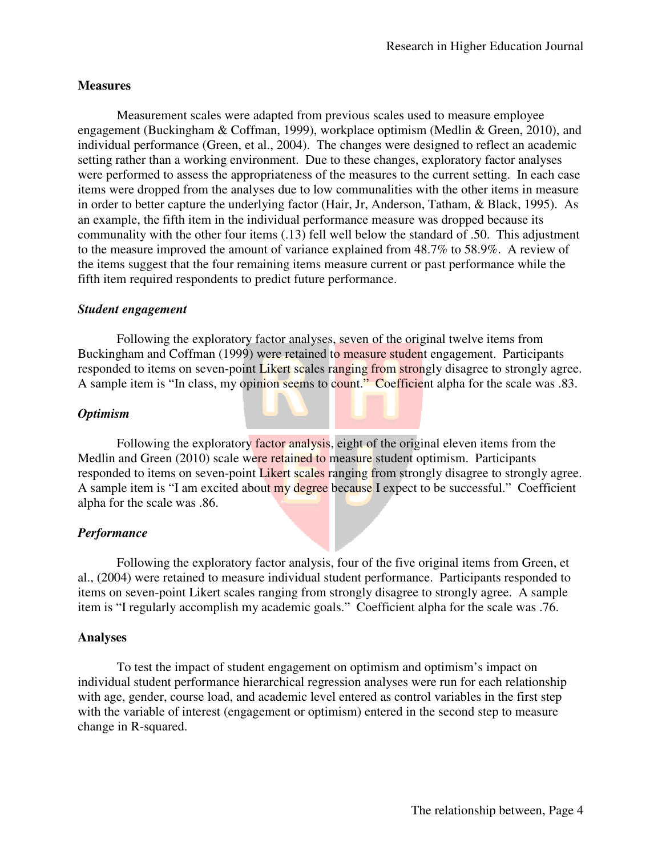# **Measures**

Measurement scales were adapted from previous scales used to measure employee engagement (Buckingham & Coffman, 1999), workplace optimism (Medlin & Green, 2010), and individual performance (Green, et al., 2004). The changes were designed to reflect an academic setting rather than a working environment. Due to these changes, exploratory factor analyses were performed to assess the appropriateness of the measures to the current setting. In each case items were dropped from the analyses due to low communalities with the other items in measure in order to better capture the underlying factor (Hair, Jr, Anderson, Tatham, & Black, 1995). As an example, the fifth item in the individual performance measure was dropped because its communality with the other four items (.13) fell well below the standard of .50. This adjustment to the measure improved the amount of variance explained from 48.7% to 58.9%. A review of the items suggest that the four remaining items measure current or past performance while the fifth item required respondents to predict future performance. ales were adapted from previous scales used to measure employee<br>um & Coffman, 1999), workplace optimism (Medlin & Green, 2010), and<br>(Green, et al., 2004). The changes were designed to reflect an academic<br>king environment. the standard of .50. This adjustment<br>from 48.7% to 58.9%. A review of<br>rent or past performance while the<br>e.<br>he original twelve items from<br>**student** engagement. Participants<br>m strongly disagree to strongly agree.

## *Student engagement*

Following the exploratory factor analyses, seven of the original twelve items from Buckingham and Coffman (1999) were retained to measure student engagement. Participants responded to items on seven-point Likert scales ranging from strongly disagree to st A sample item is "In class, my opinion seems to count." Coefficient alpha for the scale was .83. gest that the four remaining items measure current or past performance while the<br>uired respondents to predict future performance.<br>**gement**<br>wing the exploratory factor analyses, seven of the original twelve items from<br>and C

## *Optimism*

Following the exploratory factor analysis, eight of the original eleven items from the Medlin and Green (2010) scale were retained to measure student optimism. Participants responded to items on seven-point Likert scales ranging from strongly disagree to strongly agree. A sample item is "I am excited about my degree because I expect to be successful." Coefficient alpha for the scale was .86. and Green (2010) scale were retained to measure student optimism. Participants<br>ded to items on seven-point Likert scales ranging from strongly disagree to strongly agre<br>ole item is "I am excited about my degree because I e

## *Performance*

Following the exploratory factor analysis, four of the five original items from Green, et al., (2004) were retained to measure individual student performance. Participants responded to items on seven-point Likert scales ranging from strongly disagree to strongly agree. A sample item is "I regularly accomplish my academic goals." Coefficient alpha for the scale was .76.

## **Analyses**

To test the impact of student engagement on optimism and optimism's impact on individual student performance hierarchical regression analyses were run for each relationship with age, gender, course load, and academic level entered as control variables in the first step with the variable of interest (engagement or optimism) entered in the second step to measure change in R-squared.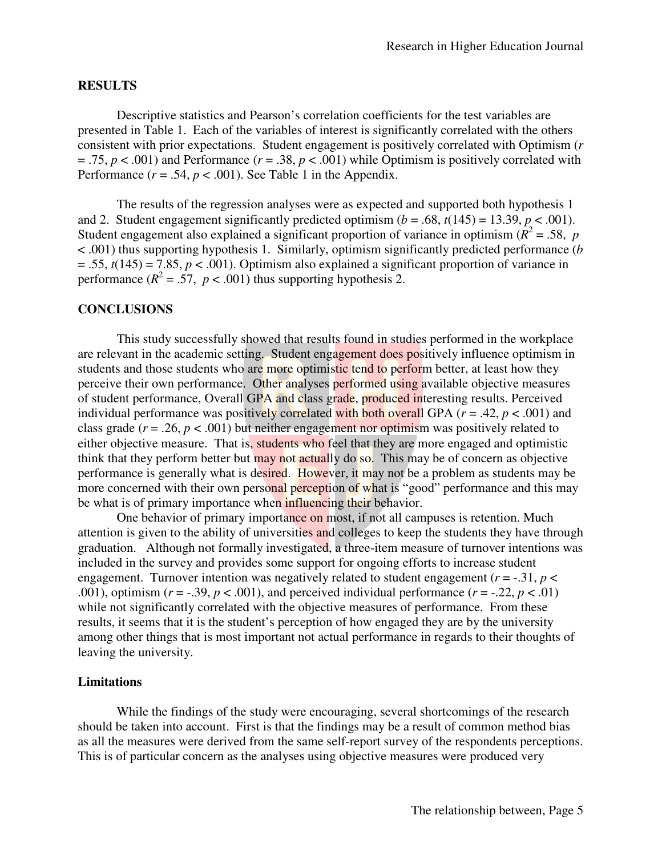## **RESULTS**

Descriptive statistics and Pearson's correlation coefficients for the test variables are presented in Table 1. Each of the variables of interest is significantly correlated with the others consistent with prior expectations. Student engagement is positively correlated with Optimism ( *r* Descriptive statistics and Pearson's correlation coefficients for the test variables are<br>presented in Table 1. Each of the variables of interest is significantly correlated with the others<br>consistent with prior expectatio Performance  $(r = .54, p < .001)$ . See Table 1 in the Appendix.

nance ( $r = .54$ ,  $p < .001$ ). See Table 1 in the Appendix.<br>The results of the regression analyses were as expected and supported both hypothesis 1 4.75, *p* < .001) and Performance (*r* = .38, *p* < .001) while Optimism is positively correlated with Performance (*r* = .54, *p* < .001). See Table 1 in the Appendix.<br>The results of the regression analyses were as expec Student engagement also explained a significant proportion of variance in optimism ( $\hat{R}^2$  = .58, *p* < .001) thus supporting hypothesis 1. Similarly, optimism significantly predicted performance (*b*  $= .55$ ,  $t(145) = 7.85$ ,  $p < .001$ ). Optimism also explained a significant proportion of variance in performance  $(R^2 = .57, p < .001)$  thus supporting hypothesis 2.

#### **CONCLUSIONS**

This study successfully showed that results found in studies performed in the workplace are relevant in the academic setting. Student engagement does positively influence optimism in students and those students who are more optimistic tend to perform better, at least how they perceive their own performance. Other analyses performed using available of student performance, Overall GPA and class grade, produced interesting results. Perceived individual performance was positively correlated with both overall GPA ( *r* = .42, *p* < .001) and class grade  $(r = .26, p < .001)$  but neither engagement nor optimism was positively related to either objective measure. That is, students who feel that they are more engaged and optimistic think that they perform better but may not actually do so. This may be of concern as objective performance is generally what is desired. However, it may not be a problem as students may be more concerned with their own personal perception of what is "good" performance and this may be what is of primary importance when influencing their behavior. howed that results found in studies performed in the workplace ng. Student engagement does positively influence optimism in are more optimistic tend to perform better, at least how they Other analyses performed using avail ngagement nor optimism was positively related to<br>who feel that they are more engaged and optimistic<br>actually do so. This may be of concern as objective<br>However, it may not be a problem as students may be<br>**erception of what** 

 One behavior of primary importance on most, if not all campuses is retention. Much attention is given to the ability of universities and colleges to keep the students they have through graduation. Although not formally investigated, a three-item measure of turnover intentions was included in the survey and provides some support for ongoing efforts to increase student engagement. Turnover intention was negatively related to student engagement  $(r = -.31, p <$ engagement. Turnover intention was negatively related to student engagement ( $r = -.31$ ,  $p < .001$ ), optimism ( $r = -.39$ ,  $p < .001$ ), and perceived individual performance ( $r = -.22$ ,  $p < .01$ ) while not significantly correlated with the objective measures of performance. From these results, it seems that it is the student's perception of how engaged they are by the university while not significantly correlated with the objective measures of performance. From these results, it seems that it is the student's perception of how engaged they are by the university among other things that is most impo leaving the university. is generally what is desired. However, it may not be a problem as students may be hed with their own personal perception of what is "good" performance and this may primary importance when influencing their behavior.<br>
behav

#### **Limitations**

While the findings of the study were encouraging, several shortcomings of the research should be taken into account. First is that the findings may be a result of common method bias While the findings of the study were encouraging, several shortcomings of the research should be taken into account. First is that the findings may be a result of common method bias as all the measures were derived from th This is of particular concern as the analyses using objective measures were produced very<br>
The relationship between, Page 5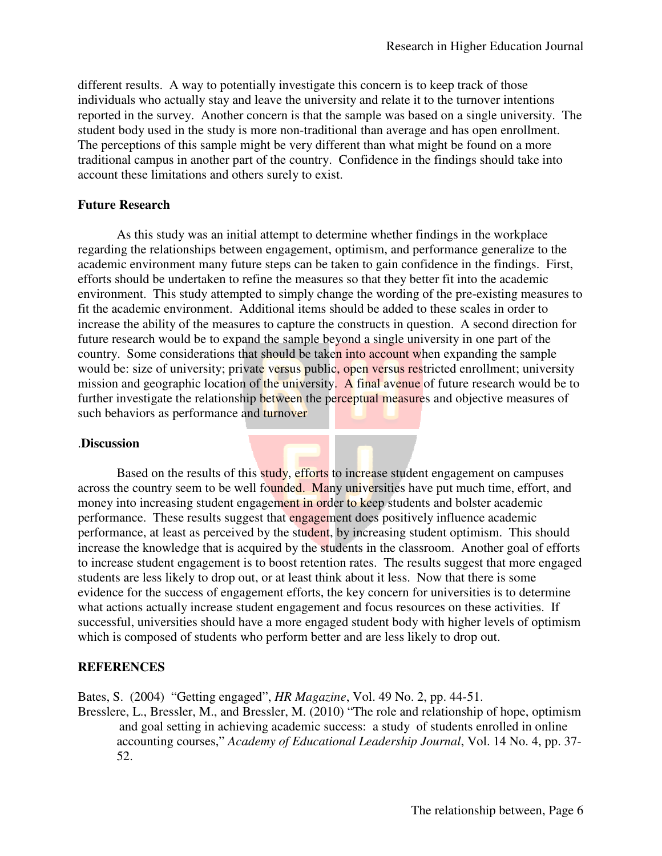different results. A way to potentially investigate this concern is to keep track of those individuals who actually stay and leave the university and relate it to the turnover intentions reported in the survey. Another concern is that the sample was based on a single university. The student body used in the study is more non-traditional than average and has open enrollment. The perceptions of this sample might be very different than what might be found on a more The perceptions of this sample might be very different than what might be found on a more traditional campus in another part of the country. Confidence in the findings should take into account these limitations and others surely to exist. university and relate it to the turnover intentions<br>that the sample was based on a single university. Th<br>traditional than average and has open enrollment.<br>y different than what might be found on a more<br>untry. Confidence in

#### **Future Research**

As this study was an initial attempt to determine whether findings in the workplace regarding the relationships between engagement, optimism, and performance generalize to the academic environment many future steps can be taken to gain confidence in the findings. efforts should be undertaken to refine the measures so that they better fit into the academic environment. This study attempted to simply change the wording of the pre-existing measures to fit the academic environment. Additional items should be added to these scales in order to environment. This study attempted to simply change the wording of the pre-existing measures to fit the academic environment. Additional items should be added to these scales in order to increase the ability of the measures future research would be to expand the sample beyond a single university in one part of the country. Some considerations that should be taken into account when expanding the sample future research would be to expand the sample beyond a single university in one part of the<br>country. Some considerations that should be taken into account when expanding the sample<br>would be: size of university; private ver mission and geographic location of the university. A final avenue of future research would be to further investigate the relationship between the perceptual measures and objective measures of such behaviors as performance and turnover this study was an initial attempt to determine whether findings in the workplace<br>the relationships between engagement, optimism, and performance generalize to<br>environment many future steps can be taken to gain confidence i

#### .**Discussion**

Based on the results of this study, efforts to increase student engagement on campuses across the country seem to be well founded. Many universities have put much time, effort, and money into increasing student engagement in order to keep students and bolster academic performance. These results suggest that engagement does positively influence academic performance, at least as perceived by the student, by increasing student optimism. This should increase the knowledge that is acquired by the students in the classroom. Another goal of efforts performance, at least as perceived by the student, by increasing student optimism. This should increase the knowledge that is acquired by the students in the classroom. Another goal of efforts to increase student engagemen students are less likely to drop out, or at least think about it less. Now that there is some evidence for the success of engagement efforts, the key concern for universities is to determine what actions actually increase student engagement and focus resources on these activities. If successful, universities should have a more engaged student body with higher levels of optimism which is composed of students who perform better and are less likely to drop out. mission and geographic location of the university. A final avenue of future research would be to<br>further investigate the relationship between the perceptual measures and objective measures of<br>such behaviors as performance students are less likely to drop out, or at least think about it less. Now that there is some<br>evidence for the success of engagement efforts, the key concern for universities is to detern<br>what actions actually increase stu ase student engagement and focus resources on these activities. If<br>build have a more engaged student body with higher levels of optimis<br>ents who perform better and are less likely to drop out.<br>engaged", *HR Magazine*, Vol.

#### **REFERENCES**

Bates, S. (2004) "Getting engaged", *HR Magazine*, Vol. 49 No. 2, pp. 44-51.

Bresslere, L., Bressler, M., and Bressler, M. (2010) "The role and relationship of hope, optimism and goal setting in achieving academic success: a study of students enrolled in online and goal setting in achieving academic success: a study of students enrolled in online accounting courses," *Academy of Educational Leadership Journal*, Vol. 14 No. 4, pp. 37-52.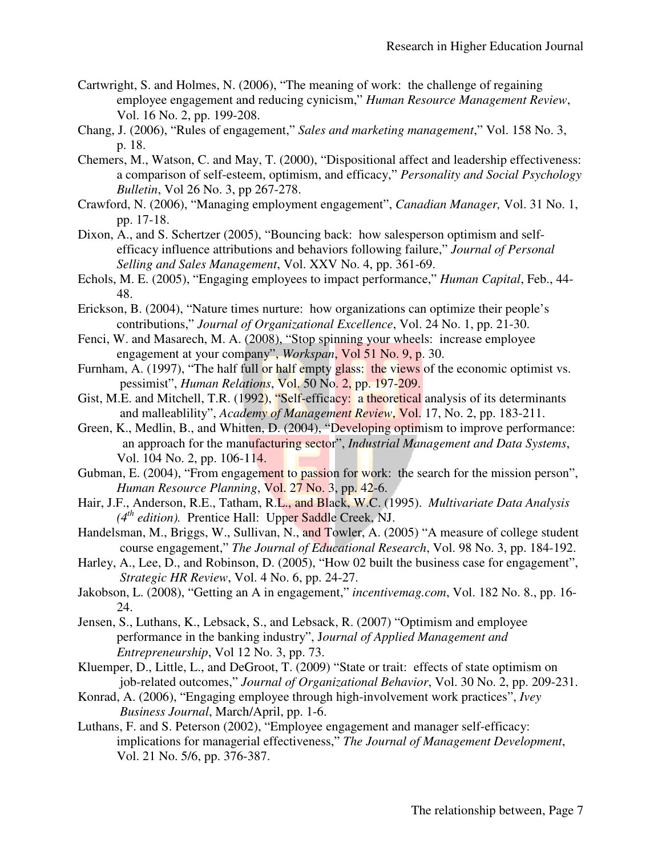- Cartwright, S. and Holmes, N. (2006), "The meaning of work: the challenge of regaining employee engagement and reducing cynicism," Human Resource Management Review, Vol. 16 No. 2, pp. 199-208.
- Chang, J. (2006), "Rules of engagement," *Sales and marketing management*," Vol. 158 No. 3, p. 18.
- Chemers, M., Watson, C. and May, T. (2000), "Dispositional affect and leadership effectiveness: a comparison of self-esteem, optimism, and efficacy," *Personality and Social Psychology Bulletin*, Vol 26 No. 3, pp 267-278. a comparison of self-esteem, optimism, and efficacy," *Personality and Social Psychology*<br>*Bulletin*, Vol 26 No. 3, pp 267-278.<br>Crawford, N. (2006), "Managing employment engagement", *Canadian Manager*, Vol. 31 No. 1,
- pp. 17-18.
- Dixon, A., and S. Schertzer (2005), "Bouncing back: how salesperson optimism and selfefficacy influence attributions and behaviors following failure," *Journal of Personal Selling and Sales Management* , Vol. XXV No. 4, pp. 361-69.
- Echols, M. E. (2005), "Engaging employees to impact performance," *Human Capital*, Feb., 44-48.
- Erickson, B. (2004), "Nature times nurture: how organizations can optimize their people's contributions," *Journal of Organizational Excellence*, Vol. 24 No. 1, pp. 21-30.
- Fenci, W. and Masarech, M. A. (2008), "Stop spinning your wheels: increase employee engagement at your company", *Workspan*, Vol 51 No. 9, p. 30.
- Furnham, A. (1997), "The half full or half empty glass: the views of the economic optimist vs. Furnham, A. (1997), "The half full or half empty glass: the views pessimist", *Human Relations*, Vol. 50 No. 2, pp. 197-209.
- Gist, M.E. and Mitchell, T.R. (1992), "Self-efficacy: a theoretical analysis of its determinants E. and Mitchell, T.R. (1992), "Self-efficacy: a theoretical analysis of its determinant and malleablility", *Academy of Management Review*, Vol. 17, No. 2, pp. 183-211.
- Green, K., Medlin, B., and Whitten, D. (2004), "Developing optimism to improve performance: L., Medlin, B., and Whitten, D. (2004), "Developing optimism to improve performance an approach for the manufacturing sector", *Industrial Management and Data Systems*, Vol. 104 No. 2, pp. 106-114.
- Vol. 104 No. 2, pp. 106-114.<br>Gubman, E. (2004), "From engagement to passion for work: the search for the mission person", *Human Resource Planning, Vol. 27 No. 3, pp. 42-6.*
- Hair, J.F., Anderson, R.E., Tatham, R.L., and Black, W.C. (1995). W.C. (1995). *Multivariate Data Analysis (4th edition).* Prentice Hall: Upper Saddle Creek, NJ.
- (4<sup>th</sup> edition). Prentice Hall: Upper Saddle Creek, NJ.<br>Handelsman, M., Briggs, W., Sullivan, N., and Towler, A. (2005) "A measure of college student course engagement," *The Journal of Educational Research*, Vol. 98 No. 3, pp. 184-192.
- Harley, A., Lee, D., and Robinson, D. (2005), "How 02 built the business case for engagement", A., Lee, D., and Robinson, D. (2005), "How 0*2*<br>*Strategic HR Review*, Vol. 4 No. 6, pp. 24-27.
- Jakobson, L. (2008), "Getting an A in engagement," incentivemag.com, Vol. 182 No. 8., pp. 16-24.
- Jensen, S., Luthans, K., Lebsack, S., and Lebsack, R. (2007) "Optimism and employee performance in the banking industry", Journal of Applied Management and *Entrepreneurship*, Vol 12 No. 3, pp. 73.
- Kluemper, D., Little, L., and DeGroot, T. (2009) "State or trait: effects of state optimism on ber, D., Little, L., and DeGroot, T. (2009) "State or trait: effects of state optimism on job-related outcomes," *Journal of Organizational Behavior*, Vol. 30 No. 2, pp. 209-231.
- Konrad, A. (2006), "Engaging employee through high-involvement work practices", *Ivey Business Journal*, March/April, pp. 1 1-6.
- Luthans, F. and S. Peterson (2002), "Employee engagement and manager self-efficacy: implications for managerial effectiveness," The Journal of Management Development, Vol. 21 No. 5/6, pp. 376-387.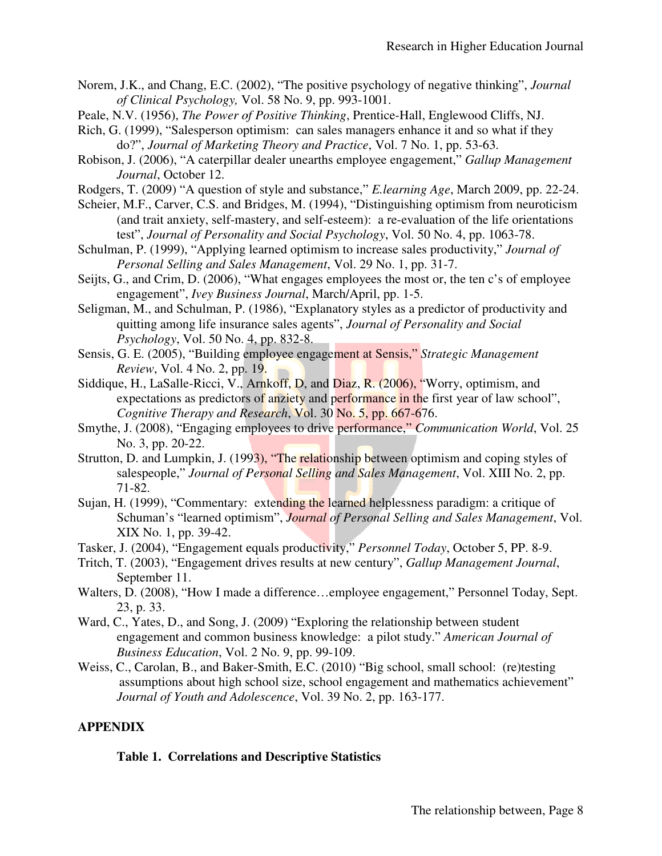- Norem, J.K., and Chang, E.C. (2002), "The positive psychology of negative thinking", *Journal*  J.K., and Chang, E.C. (2002), "The positive psychology of Clinical Psychology, Vol. 58 No. 9, pp. 993-1001.
- Peale, N.V. (1956), *The Power of Positive Thinking*, Prentice-Hall, Englewood Cliffs, NJ.
- Rich, G. (1999), "Salesperson optimism: can sales managers enhance it and so what if they do?", *Journal of Marketing Theory and Practice* , Vol. 7 No. 1, pp. 53-63.
- Robison, J. (2006), "A caterpillar dealer unearths employee engagement," Gallup Management  *Journal*, October 12. Hall, Englewood Cliffs, NJ.<br>enhance it and so what if they<br>7 No. 1, pp. 53-63.<br>ngagement," *Gallup Management*<br>rning Age, March 2009, pp. 22-24.
- Rodgers, T. (2009) "A question of style and substance," *E.learning Age*, March 2009, pp. 22
- Scheier, M.F., Carver, C.S. and Bridges, M. (1994), "Distinguishing optimism from neuroticism (and trait anxiety, self-mastery, and self-esteem): a re-evaluation of the life orientations (and trait anxiety, self-mastery, and self-esteem): a re-evaluation of the life orien<br>test", *Journal of Personality and Social Psychology*, Vol. 50 No. 4, pp. 1063-78.
- Schulman, P. (1999), "Applying learned optimism to increase sales productivity," Journal of *Personal Selling and Sales Management* , Vol. 29 No. 1, pp. 31-7.
- Seijts, G., and Crim, D. (2006), "What engages employees the most or, the ten c's of employee engagement", *Ivey Business Journal*, March/April, pp. 1-5. engagement", *Ivey Business Journal*
- Seligman, M., and Schulman, P. (1986), "Explanatory styles as a predictor of productivity and quitting among life insurance sales agents", *Journal of Personality and Social Personality and Social Psychology*, Vol. 50 No. 4, pp. 832 832-8.
- Sensis, G. E. (2005), "Building employee engagement at Sensis," Strategic Management  *Review*, Vol. 4 No. 2, pp. 19.
- Siddique, H., LaSalle-Ricci, V., Arnkoff, D, and Diaz, R. (2006), "Worry, optimism, and le, H., LaSalle-Ricci, V., Arnkoff, D, and Diaz, R. (2006), "Worry, optimism, and expectations as predictors of anziety and performance in the first year of law school", Cognitive Therapy and Research, Vol. 30 No. 5, pp. 667-676.
- Smythe, J. (2008), "Engaging employees to drive performance," *Communication World*, Vol. 25 No. 3, pp. 20-22.
- Strutton, D. and Lumpkin, J. (1993), "The relationship between optimism and coping styles of n, D. and Lumpkin, J. (1993), "The relationship between optimism and coping styles of salespeople," *Journal of Personal Selling and Sales Management*, Vol. XIII No. 2, pp. 71-82.
- Sujan, H. (1999), "Commentary: extending the learned helplessness paradigm: a critique of Schuman's "learned optimism", *Journal of Personal Selling and Sales Management*, Vol. XIX No. 1, pp. 39-42.
- Tasker, J. (2004), "Engagement equals productivity," *Personnel Today*, October 5, PP. 8 8-9.
- Tritch, T. (2003), "Engagement drives results at new century", *Gallup Management Journal Gallup Management Journal*, September 11.
- Walters, D. (2008), "How I made a difference...employee engagement," Personnel Today, Sept. 23, p. 33.
- Ward, C., Yates, D., and Song, J. (2009) "Exploring the relationship between student engagement and common business knowledge: a pilot study." American Journal of *Business Education*, Vol. 2 No. 9, pp. 99-109.
- Weiss, C., Carolan, B., and Baker-Smith, E.C. (2010) "Big school, small school: (re)testing assumptions about high school size, school engagement and mathematics achievement" *Journal of Youth and Adolescence* , Vol. 39 No. 2, pp. 163-177.

# **APPENDIX**

## **Table 1. Correlations and Descriptive Statistics Table 1. Correlations and Descriptive**